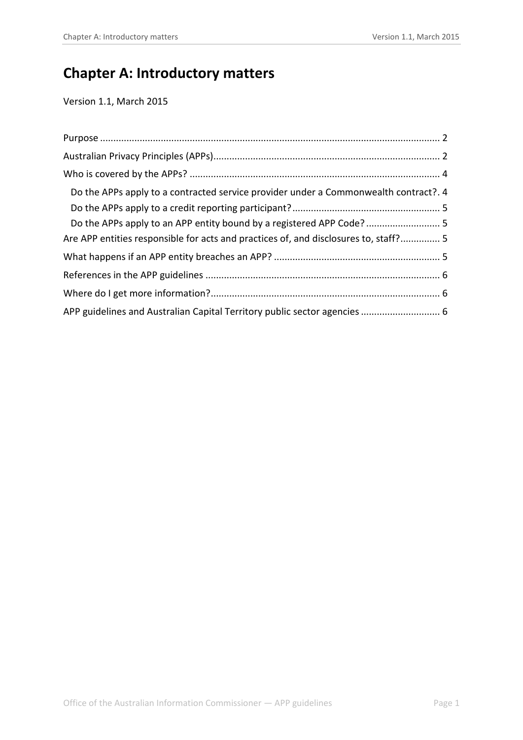# **Chapter A: Introductory matters**

Version 1.1, March 2015

| Do the APPs apply to a contracted service provider under a Commonwealth contract?. 4 |  |
|--------------------------------------------------------------------------------------|--|
|                                                                                      |  |
| Do the APPs apply to an APP entity bound by a registered APP Code? 5                 |  |
| Are APP entities responsible for acts and practices of, and disclosures to, staff? 5 |  |
|                                                                                      |  |
|                                                                                      |  |
|                                                                                      |  |
|                                                                                      |  |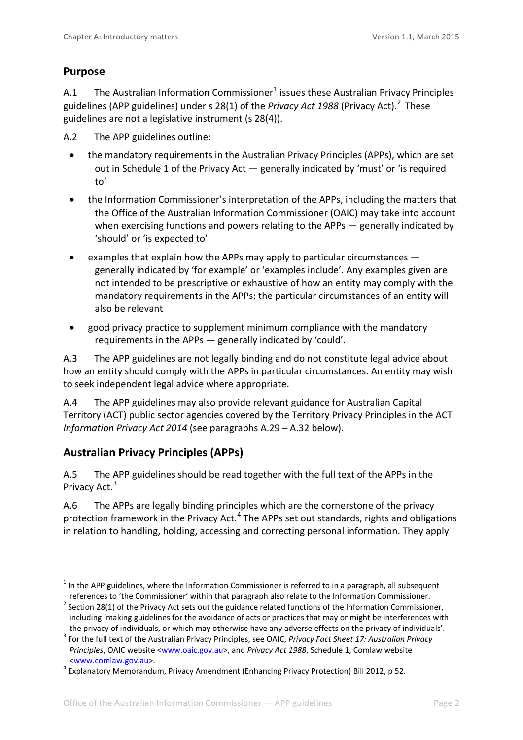## <span id="page-1-0"></span>**Purpose**

A.[1](#page-1-2) The Australian Information Commissioner $1$  issues these Australian Privacy Principles guidelines (APP guidelines) under s 28(1) of the *Privacy Act 1988* (Privacy Act). [2](#page-1-3) These guidelines are not a legislative instrument (s 28(4)).

<span id="page-1-6"></span>A.2 The APP guidelines outline:

- the mandatory requirements in the Australian Privacy Principles (APPs), which are set out in Schedule 1 of the Privacy Act — generally indicated by 'must' or 'is required to'
- the Information Commissioner's interpretation of the APPs, including the matters that the Office of the Australian Information Commissioner (OAIC) may take into account when exercising functions and powers relating to the APPs — generally indicated by 'should' or 'is expected to'
- examples that explain how the APPs may apply to particular circumstances generally indicated by 'for example' or 'examples include'. Any examples given are not intended to be prescriptive or exhaustive of how an entity may comply with the mandatory requirements in the APPs; the particular circumstances of an entity will also be relevant
- good privacy practice to supplement minimum compliance with the mandatory requirements in the APPs — generally indicated by 'could'.

A.3 The APP guidelines are not legally binding and do not constitute legal advice about how an entity should comply with the APPs in particular circumstances. An entity may wish to seek independent legal advice where appropriate.

A.4 The APP guidelines may also provide relevant guidance for Australian Capital Territory (ACT) public sector agencies covered by the Territory Privacy Principles in the ACT *Information Privacy Act 2014* (see paragraphs A.29 – A.32 below).

# <span id="page-1-1"></span>**Australian Privacy Principles (APPs)**

A.5 The APP guidelines should be read together with the full text of the APPs in the Privacy Act.<sup>[3](#page-1-4)</sup>

A.6 The APPs are legally binding principles which are the cornerstone of the privacy protection framework in the Privacy Act.[4](#page-1-5) The APPs set out standards, rights and obligations in relation to handling, holding, accessing and correcting personal information. They apply

<span id="page-1-2"></span> $1$  In the APP guidelines, where the Information Commissioner is referred to in a paragraph, all subsequent references to 'the Commissioner' within that paragraph also relate to the Information Commissioner. 1

<span id="page-1-3"></span> $2$  Section 28(1) of the Privacy Act sets out the guidance related functions of the Information Commissioner, including 'making guidelines for the avoidance of acts or practices that may or might be interferences with

<span id="page-1-4"></span>the privacy of individuals, or which may otherwise have any adverse effects on the privacy of individuals'.<br><sup>3</sup> For the full text of the Australian Privacy Principles, see OAIC, *Privacy Fact Sheet 17: Australian Privacy Principles*, OAIC website [<www.oaic.gov.au>](http://www.oaic.gov.au/), and *Privacy Act 1988*, Schedule 1, Comlaw website <www.comlaw.gov.au>. <sup>4</sup> Explanatory Memorandum, Privacy Amendment (Enhancing Privacy Protection) Bill 2012, p 52.

<span id="page-1-5"></span>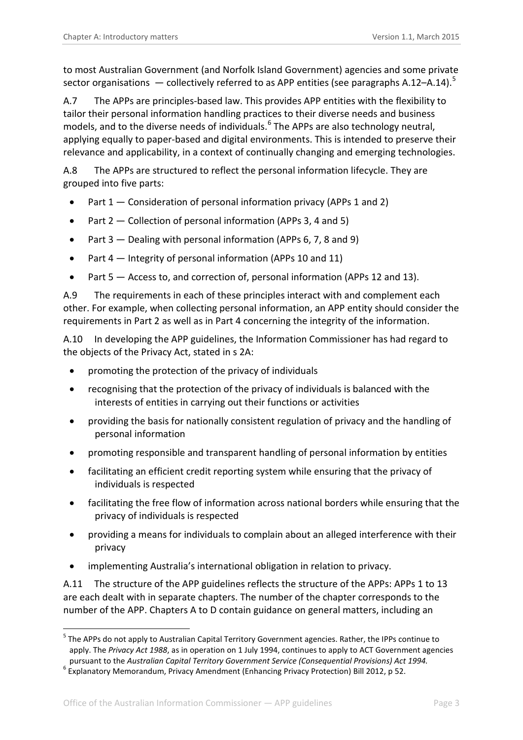to most Australian Government (and Norfolk Island Government) agencies and some private sector organisations  $-$  collectively referred to as APP entities (see paragraph[s A.12–](#page-3-2)[A.14\)](#page-3-3).<sup>[5](#page-2-0)</sup>

A.7 The APPs are principles-based law. This provides APP entities with the flexibility to tailor their personal information handling practices to their diverse needs and business models, and to the diverse needs of individuals. [6](#page-2-1) The APPs are also technology neutral, applying equally to paper-based and digital environments. This is intended to preserve their relevance and applicability, in a context of continually changing and emerging technologies.

A.8 The APPs are structured to reflect the personal information lifecycle. They are grouped into five parts:

- Part 1 Consideration of personal information privacy (APPs 1 and 2)
- Part 2 Collection of personal information (APPs 3, 4 and 5)
- Part 3 Dealing with personal information (APPs 6, 7, 8 and 9)
- Part 4 Integrity of personal information (APPs 10 and 11)
- Part 5 Access to, and correction of, personal information (APPs 12 and 13).

A.9 The requirements in each of these principles interact with and complement each other. For example, when collecting personal information, an APP entity should consider the requirements in Part 2 as well as in Part 4 concerning the integrity of the information.

A.10 In developing the APP guidelines, the Information Commissioner has had regard to the objects of the Privacy Act, stated in s 2A:

- promoting the protection of the privacy of individuals
- recognising that the protection of the privacy of individuals is balanced with the interests of entities in carrying out their functions or activities
- providing the basis for nationally consistent regulation of privacy and the handling of personal information
- promoting responsible and transparent handling of personal information by entities
- facilitating an efficient credit reporting system while ensuring that the privacy of individuals is respected
- facilitating the free flow of information across national borders while ensuring that the privacy of individuals is respected
- providing a means for individuals to complain about an alleged interference with their privacy
- implementing Australia's international obligation in relation to privacy.

A.11 The structure of the APP guidelines reflects the structure of the APPs: APPs 1 to 13 are each dealt with in separate chapters. The number of the chapter corresponds to the number of the APP. Chapters A to D contain guidance on general matters, including an

1

<span id="page-2-0"></span><sup>&</sup>lt;sup>5</sup> The APPs do not apply to Australian Capital Territory Government agencies. Rather, the IPPs continue to apply. The *Privacy Act 1988*, as in operation on 1 July 1994, continues to apply to ACT Government agencies pursuant to the *Australian Capital Territory Government Service (Consequential Provisions) Act 1994.* <sup>6</sup> Explanatory Memorandum, Privacy Amendment (Enhancing Privacy Protection) Bill 2012, p 52.

<span id="page-2-1"></span>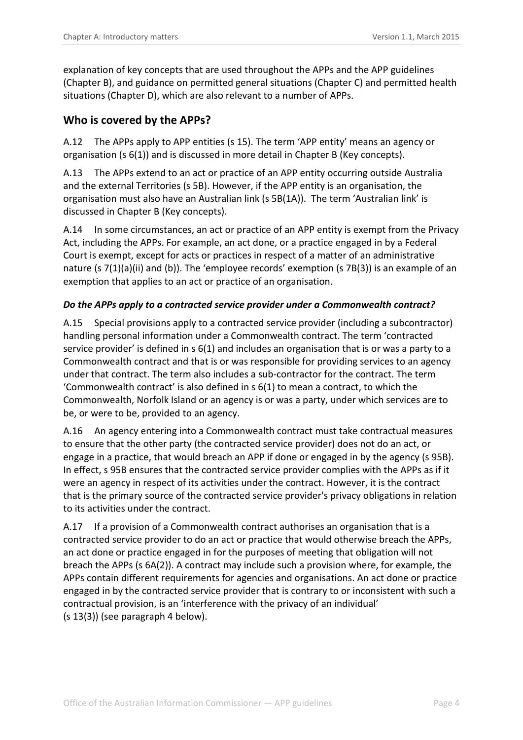explanation of key concepts that are used throughout the APPs and the APP guidelines (Chapter B), and guidance on permitted general situations (Chapter C) and permitted health situations (Chapter D), which are also relevant to a number of APPs.

#### <span id="page-3-0"></span>**Who is covered by the APPs?**

<span id="page-3-2"></span>A.12 The APPs apply to APP entities (s 15). The term 'APP entity' means an agency or organisation (s 6(1)) and is discussed in more detail in Chapter B (Key concepts).

A.13 The APPs extend to an act or practice of an APP entity occurring outside Australia and the external Territories (s 5B). However, if the APP entity is an organisation, the organisation must also have an Australian link (s 5B(1A)). The term 'Australian link' is discussed in Chapter B (Key concepts).

A.14 In some circumstances, an act or practice of an APP entity is exempt from the Privacy Act, including the APPs. For example, an act done, or a practice engaged in by a Federal Court is exempt, except for acts or practices in respect of a matter of an administrative nature (s 7(1)(a)(ii) and (b)). The 'employee records' exemption (s 7B(3)) is an example of an exemption that applies to an act or practice of an organisation.

#### <span id="page-3-3"></span><span id="page-3-1"></span>*Do the APPs apply to a contracted service provider under a Commonwealth contract?*

A.15 Special provisions apply to a contracted service provider (including a subcontractor) handling personal information under a Commonwealth contract. The term 'contracted service provider' is defined in s 6(1) and includes an organisation that is or was a party to a Commonwealth contract and that is or was responsible for providing services to an agency under that contract. The term also includes a sub-contractor for the contract. The term 'Commonwealth contract' is also defined in s 6(1) to mean a contract, to which the Commonwealth, Norfolk Island or an agency is or was a party, under which services are to be, or were to be, provided to an agency.

A.16 An agency entering into a Commonwealth contract must take contractual measures to ensure that the other party (the contracted service provider) does not do an act, or engage in a practice, that would breach an APP if done or engaged in by the agency (s 95B). In effect, s 95B ensures that the contracted service provider complies with the APPs as if it were an agency in respect of its activities under the contract. However, it is the contract that is the primary source of the contracted service provider's privacy obligations in relation to its activities under the contract.

A.17 If a provision of a Commonwealth contract authorises an organisation that is a contracted service provider to do an act or practice that would otherwise breach the APPs, an act done or practice engaged in for the purposes of meeting that obligation will not breach the APPs (s 6A(2)). A contract may include such a provision where, for example, the APPs contain different requirements for agencies and organisations. An act done or practice engaged in by the contracted service provider that is contrary to or inconsistent with such a contractual provision, is an 'interference with the privacy of an individual' (s 13(3)) (see paragraph 4 below).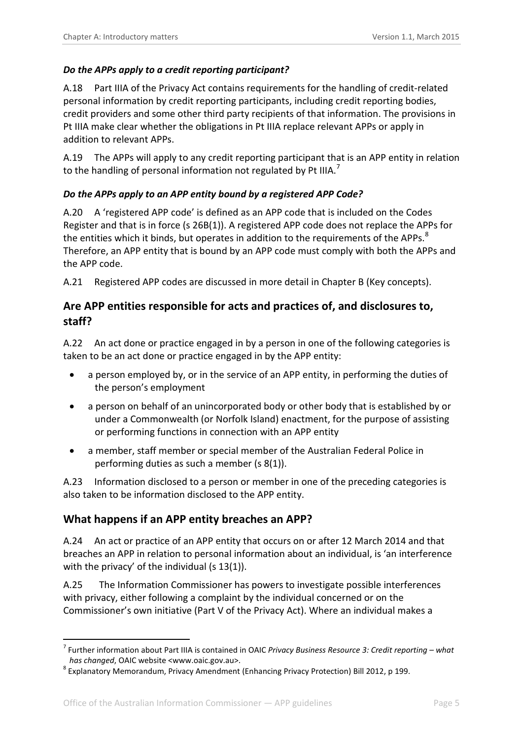#### <span id="page-4-0"></span>*Do the APPs apply to a credit reporting participant?*

A.18 Part IIIA of the Privacy Act contains requirements for the handling of credit-related personal information by credit reporting participants, including credit reporting bodies, credit providers and some other third party recipients of that information. The provisions in Pt IIIA make clear whether the obligations in Pt IIIA replace relevant APPs or apply in addition to relevant APPs.

A.19 The APPs will apply to any credit reporting participant that is an APP entity in relation to the handling of personal information not regulated by Pt IIIA.<sup>[7](#page-4-4)</sup>

#### <span id="page-4-1"></span>*Do the APPs apply to an APP entity bound by a registered APP Code?*

A.20 A 'registered APP code' is defined as an APP code that is included on the Codes Register and that is in force (s 26B(1)). A registered APP code does not replace the APPs for the entities which it binds, but operates in addition to the requirements of the APPs.<sup>[8](#page-4-5)</sup> Therefore, an APP entity that is bound by an APP code must comply with both the APPs and the APP code.

A.21 Registered APP codes are discussed in more detail in Chapter B (Key concepts).

## <span id="page-4-2"></span>**Are APP entities responsible for acts and practices of, and disclosures to, staff?**

A.22 An act done or practice engaged in by a person in one of the following categories is taken to be an act done or practice engaged in by the APP entity:

- a person employed by, or in the service of an APP entity, in performing the duties of the person's employment
- a person on behalf of an unincorporated body or other body that is established by or under a Commonwealth (or Norfolk Island) enactment, for the purpose of assisting or performing functions in connection with an APP entity
- a member, staff member or special member of the Australian Federal Police in performing duties as such a member (s 8(1)).

A.23 Information disclosed to a person or member in one of the preceding categories is also taken to be information disclosed to the APP entity.

# <span id="page-4-3"></span>**What happens if an APP entity breaches an APP?**

A.24 An act or practice of an APP entity that occurs on or after 12 March 2014 and that breaches an APP in relation to personal information about an individual, is 'an interference with the privacy' of the individual (s 13(1)).

A.25 The Information Commissioner has powers to investigate possible interferences with privacy, either following a complaint by the individual concerned or on the Commissioner's own initiative (Part V of the Privacy Act). Where an individual makes a

-

<span id="page-4-4"></span><sup>7</sup> Further information about Part IIIA is contained in OAIC *Privacy Business Resource 3: Credit reporting – what has changed*, OAIC website <www.oaic.gov.au>. <sup>8</sup> Explanatory Memorandum, Privacy Amendment (Enhancing Privacy Protection) Bill 2012, p 199.

<span id="page-4-5"></span>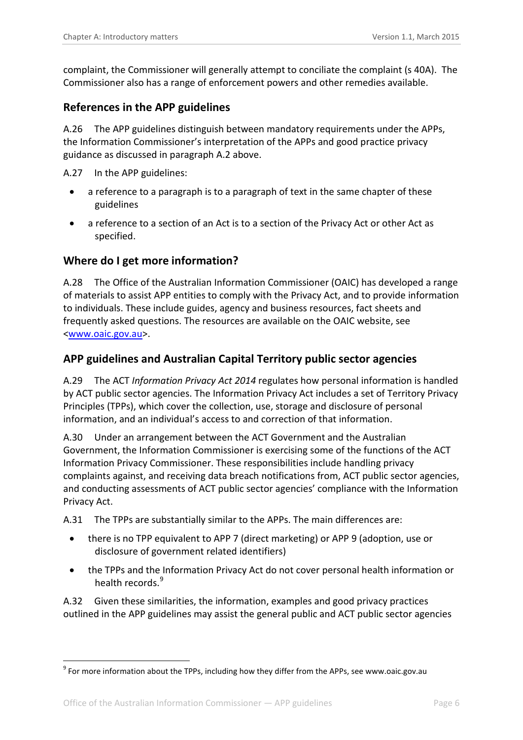complaint, the Commissioner will generally attempt to conciliate the complaint (s 40A). The Commissioner also has a range of enforcement powers and other remedies available.

#### <span id="page-5-0"></span>**References in the APP guidelines**

A.26 The APP guidelines distinguish between mandatory requirements under the APPs, the Information Commissioner's interpretation of the APPs and good practice privacy guidance as discussed in paragraph [A.2](#page-1-6) above.

A.27 In the APP guidelines:

- a reference to a paragraph is to a paragraph of text in the same chapter of these guidelines
- a reference to a section of an Act is to a section of the Privacy Act or other Act as specified.

#### <span id="page-5-1"></span>**Where do I get more information?**

A.28 The Office of the Australian Information Commissioner (OAIC) has developed a range of materials to assist APP entities to comply with the Privacy Act, and to provide information to individuals. These include guides, agency and business resources, fact sheets and frequently asked questions. The resources are available on the OAIC website, see <www.oaic.gov.au>.

#### <span id="page-5-2"></span>**APP guidelines and Australian Capital Territory public sector agencies**

A.29 The ACT *[Information Privacy Act 2014](http://www.legislation.act.gov.au/a/2014-24/default.asp)* regulates how personal information is handled by ACT public sector agencies. The Information Privacy Act includes a set of Territory Privacy Principles (TPPs), which cover the collection, use, storage and disclosure of personal information, and an individual's access to and correction of that information.

A.30 Under an arrangement between the ACT Government and the Australian Government, the Information Commissioner is exercising some of the functions of the ACT Information Privacy Commissioner. These responsibilities include handling privacy complaints against, and receiving data breach notifications from, ACT public sector agencies, and conducting assessments of ACT public sector agencies' compliance with the Information Privacy Act.

A.31 The TPPs are substantially similar to the APPs. The main differences are:

- there is no TPP equivalent to APP 7 (direct marketing) or APP 9 (adoption, use or disclosure of government related identifiers)
- the TPPs and the Information Privacy Act do not cover personal health information or health records.<sup>[9](#page-5-3)</sup>

A.32 Given these similarities, the information, examples and good privacy practices outlined in the APP guidelines may assist the general public and ACT public sector agencies

-

<span id="page-5-3"></span> $9$  For more information about the TPPs, including how they differ from the APPs, see www.oaic.gov.au